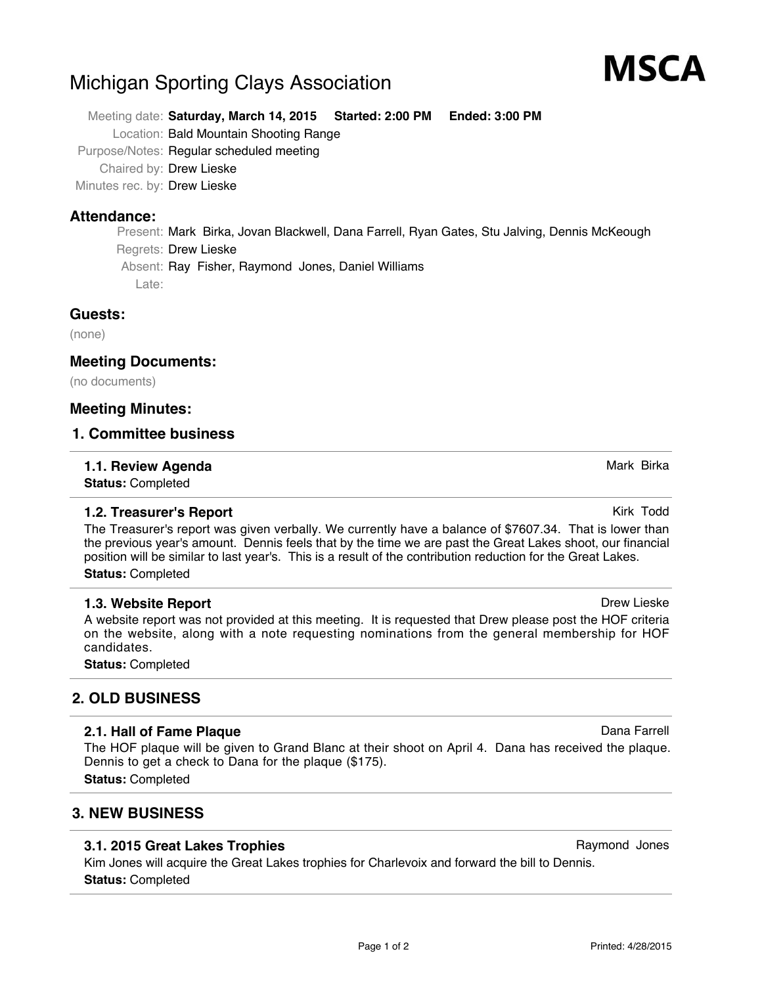# Michigan Sporting Clays Association

Meeting date: **Saturday, March 14, 2015 Started: 2:00 PM Ended: 3:00 PM** Location: Bald Mountain Shooting Range Purpose/Notes: Regular scheduled meeting

Chaired by: Drew Lieske

Minutes rec. by: Drew Lieske

#### **Attendance:**

Present: Mark Birka, Jovan Blackwell, Dana Farrell, Ryan Gates, Stu Jalving, Dennis McKeough Regrets: Drew Lieske Absent: Ray Fisher, Raymond Jones, Daniel Williams Late:

#### **Guests:**

(none)

#### **Meeting Documents:**

(no documents)

#### **Meeting Minutes:**

#### **1. Committee business**

#### **1.1. Review Agenda** Mark Birka Birka Birka Birka Birka Birka Birka Birka Birka Birka Birka Birka Birka Birka Birka

**Status:** Completed

#### **1.2. Treasurer's Report Kirk Todd Kirk Todd Kirk Todd Kirk Todd**

The Treasurer's report was given verbally. We currently have a balance of \$7607.34. That is lower than the previous year's amount. Dennis feels that by the time we are past the Great Lakes shoot, our financial position will be similar to last year's. This is a result of the contribution reduction for the Great Lakes. **Status:** Completed

#### **1.3. Website Report Drew Lieske Drew Lieske Drew Lieske Drew Lieske Drew Lieske**

A website report was not provided at this meeting. It is requested that Drew please post the HOF criteria on the website, along with a note requesting nominations from the general membership for HOF candidates.

**Status:** Completed

# **2. OLD BUSINESS**

#### **2.1. Hall of Fame Plaque** Dana Farrell **Contract Contract Contract Contract Contract Contract Contract Contract Contract Contract Contract Contract Contract Contract Contract Contract Contract Contract Contract Contract C**

The HOF plaque will be given to Grand Blanc at their shoot on April 4. Dana has received the plaque. Dennis to get a check to Dana for the plaque (\$175).

**Status:** Completed

## **3. NEW BUSINESS**

#### **3.1. 2015 Great Lakes Trophies** Raymond Jones Raymond Jones

Kim Jones will acquire the Great Lakes trophies for Charlevoix and forward the bill to Dennis. **Status:** Completed